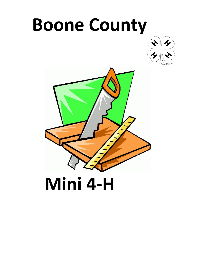## **Boone County**





# Mini 4-H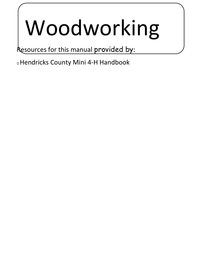# Woodworking

Resources for this manual provided by:

Hendricks County Mini 4-H Handbook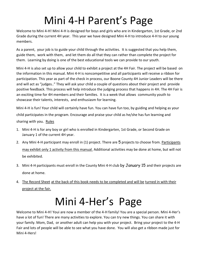## Mini 4-H Parent's Page

Welcome to Mini 4-H! Mini 4-H is designed for boys and girls who are in Kindergarten, 1st Grade, or 2nd Grade during the current 4H year. This year we have designed Mini 4-H to introduce 4-H to our young members.

As a parent, your job is to guide your child through the activities. It is suggested that you help them, guide them, work with them, and let them do all that they can rather than complete the project for them. Learning by doing is one of the best educational tools we can provide to our youth.

Mini 4-H is also set up to allow your child to exhibit a project at the 4H Fair. The project will be based on the information in this manual. Mini 4-H is noncompetitive and all participants will receive a ribbon for participation. This year as part of the check in process, our Boone County 4H Junior Leaders will be there and will act as "judges.." They will ask your child a couple of questions about their project and provide positive feedback. This process will help introduce the judging process that happens in 4H. The 4H Fair is an exciting time for 4H members and their families. It is a week that allows community youth to showcase their talents, interests, and enthusiasm for learning.

Mini 4-H is fun! Your child will certainly have fun. You can have fun too, by guiding and helping as your child participates in the program. Encourage and praise your child as he/she has fun learning and sharing with you. Rules

- 1. Mini 4-H is for any boy or girl who is enrolled in Kindergarten, 1st Grade, or Second Grade on January 1 of the current 4H year.
- 2. Any Mini 4-H participant may enroll in (1) project. There are 5 projects to choose from. Participants may exhibit only 1 activity from this manual. Additional activities may be done at home, but will not be exhibited.
- 3. Mini 4-H participants must enroll in the County Mini 4-H club by January 15 and their projects are done at home.
- 4. The Record Sheet at the back of this book needs to be completed and will be turned in with their project at the fair.

### Mini 4-Her's Page

Welcome to Mini 4-H! Youi are now a member of the 4-H family! You are a special person. Mini 4-Her's have a lot of fun! There are many activities to explore. You can try new things. You can share it with your family. Mom, Dad, or another adult can help you with your project. Bring your project to the 4-H Fair and lots of people will be able to see what you have done. You will also get a ribbon made just for Mini 4-Hers!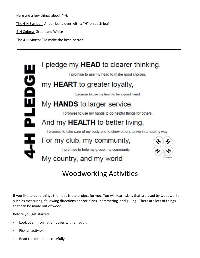Here are a few things about 4-H:

The 4-H Symbol: A four leaf clover with a "H" on each leaf

4-H Colors: Green and White

The 4-H Motto: "To make the best, better"



#### Woodworking Activities

If you like to build things then this is the project for you. You will learn skills that are used by woodworker such as measuring, following directions and/or plans, hammering, and gluing. There are lots of things that can be made out of wood.

Before you get started:

- Look over information pages with an adult.
- Pick an activity.
- Read the directions carefully.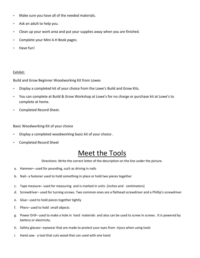- Make sure you have all of the needed materials.
- Ask an adult to help you.
- Clean up your work area and put your supplies away when you are finished.
- Complete your Mini 4-H Book pages.
- Have fun!

#### Exhibit:

Build and Grow Beginner Woodworking Kit from Lowes

- Display a completed kit of your choice from the Lowe's Build and Grow Kits.
- You can complete at Build & Grow Workshop at Lowe's for no charge or purchase kit at Lowe's to complete at home.
- Completed Record Sheet.

Basic Woodworking Kit of your choice

- Display a completed woodworking basic kit of your choice .
- Completed Record Sheet

#### Meet the Tools

Directions: Write the correct letter of the description on the line under the picture.

- a. Hammer– used for pounding, such as driving in nails
- b. Nail– a fastener used to hold something in place or hold two pieces together
- c. Tape measure– used for measuring and is marked in units (inches and centimeters)
- d. Screwdriver– used for turning screws. Two common ones are a flathead screwdriver and a Phillip's screwdriver
- e. Glue– used to hold pieces together tightly
- f. Pliers– used to hold small objects
- g. Power Drill– used to make a hole in hard materials and also can be used to screw in screws . It is powered by battery or electricity.
- h. Safety glasses– eyewear that are made to protect your eyes from injury when using tools
- i. Hand saw- a tool that cuts wood that can used with one hand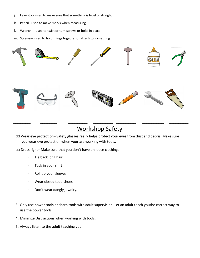- j. Level-tool used to make sure that something is level or straight
- k. Pencil– used to make marks when measuring
- l. Wrench— used to twist or turn screws or bolts in place
- m. Screws— used to hold things together or attach to something



#### Workshop Safety

\_\_\_\_\_\_\_ \_\_\_\_\_\_\_ \_\_\_\_\_\_\_\_ \_\_\_\_\_\_\_\_ \_\_\_\_\_\_\_\_ \_\_\_\_\_\_\_\_\_ \_\_\_\_\_\_\_\_

□□ Wear eye protection- Safety glasses really helps protect your eyes from dust and debris. Make sure you wear eye protection when your are working with tools.

Dress right– Make sure that you don't have on loose clothing.

- Tie back long hair.
- Tuck in your shirt
- Roll up your sleeves
- Wear closed toed shoes
- Don't wear dangly jewelry.
- 3. Only use power tools or sharp tools with adult supervision. Let an adult teach youthe correct way to use the power tools.
- 4. Minimize Distractions when working with tools.
- 5. Always listen to the adult teaching you.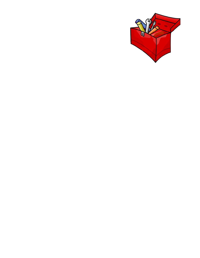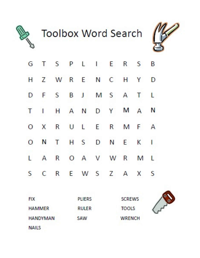

## **Toolbox Word Search**



| G              |              |              |   |                |   | TSPLIERS  |     |              | B            |
|----------------|--------------|--------------|---|----------------|---|-----------|-----|--------------|--------------|
| Н              | Z W          | 93           |   | R E            |   | N C H Y   |     |              | D            |
| D              | F            | S S          |   | <b>B</b> J     |   | M S A     |     | ar.          | L.           |
| T              | i i s        | $H \quad A$  |   | N <sub>1</sub> |   | D Y       | M   | $\mathsf{A}$ | N            |
| $\overline{O}$ | X            |              |   | R U L E        |   |           | R M | a France     | $\mathbf{A}$ |
| $\circ$        | N            | $\mathbb T$  | H | S              | D | N I       | E   | $\mathsf{K}$ | $\mathbf{I}$ |
| Ł              | $\mathsf{A}$ | $R_{\perp}$  |   | $O$ A V        |   | W         | R.  | M            | Ŀ            |
| S.             | $\mathsf{C}$ | $\mathsf{R}$ |   |                |   | E W S Z A |     | X            | <b>S</b>     |

| <b>FIX</b>      | <b>PLIERS</b> | <b>SCREWS</b> |  |  |
|-----------------|---------------|---------------|--|--|
| <b>HAMMER</b>   | <b>RULER</b>  | <b>TOOLS</b>  |  |  |
| <b>HANDYMAN</b> | <b>SAW</b>    | <b>WRENCH</b> |  |  |
|                 |               |               |  |  |



**NAILS**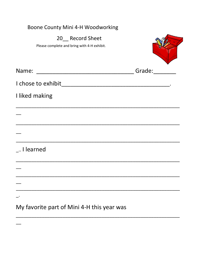| Boone County Mini 4-H Woodworking                              |        |
|----------------------------------------------------------------|--------|
| 20 Record Sheet<br>Please complete and bring with 4-H exhibit. |        |
| Name:                                                          | Grade: |
|                                                                |        |
| I liked making                                                 |        |
|                                                                |        |
|                                                                |        |
| I learned                                                      |        |
|                                                                |        |
|                                                                |        |
|                                                                |        |
| My favorite part of Mini 4-H this year was                     |        |